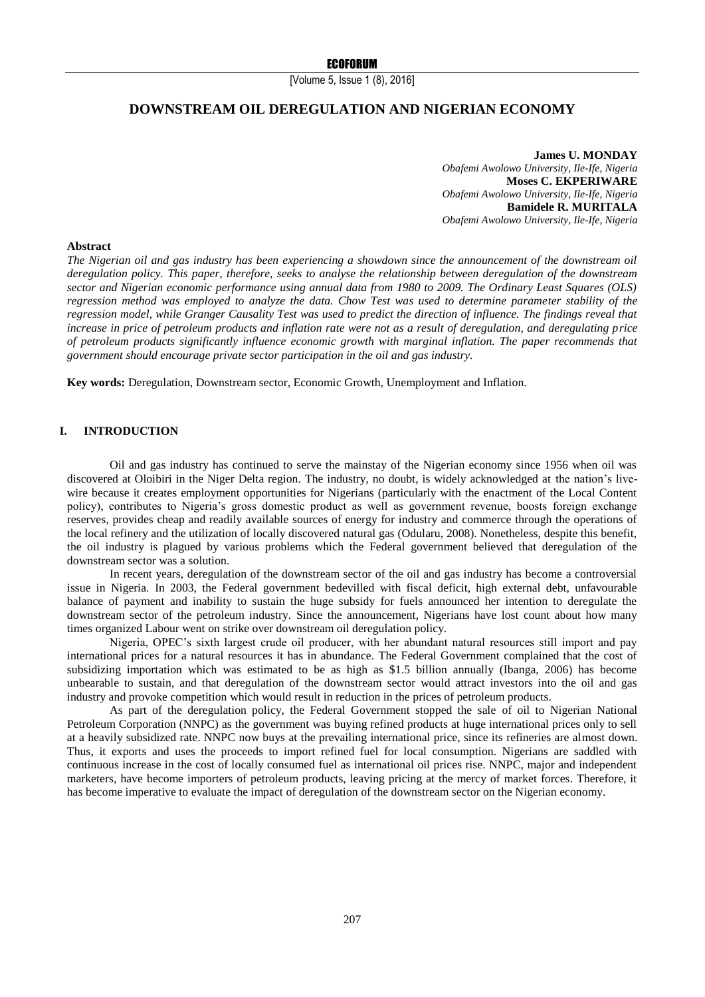[Volume 5, Issue 1 (8), 2016]

# **DOWNSTREAM OIL DEREGULATION AND NIGERIAN ECONOMY**

**James U. MONDAY** *Obafemi Awolowo University, Ile-Ife, Nigeria* **Moses C. EKPERIWARE** *Obafemi Awolowo University, Ile-Ife, Nigeria* **Bamidele R. MURITALA** *Obafemi Awolowo University, Ile-Ife, Nigeria*

### **Abstract**

*The Nigerian oil and gas industry has been experiencing a showdown since the announcement of the downstream oil deregulation policy. This paper, therefore, seeks to analyse the relationship between deregulation of the downstream sector and Nigerian economic performance using annual data from 1980 to 2009. The Ordinary Least Squares (OLS) regression method was employed to analyze the data. Chow Test was used to determine parameter stability of the regression model, while Granger Causality Test was used to predict the direction of influence. The findings reveal that increase in price of petroleum products and inflation rate were not as a result of deregulation, and deregulating price of petroleum products significantly influence economic growth with marginal inflation. The paper recommends that government should encourage private sector participation in the oil and gas industry.*

**Key words:** Deregulation, Downstream sector, Economic Growth, Unemployment and Inflation.

#### **I. INTRODUCTION**

Oil and gas industry has continued to serve the mainstay of the Nigerian economy since 1956 when oil was discovered at Oloibiri in the Niger Delta region. The industry, no doubt, is widely acknowledged at the nation's livewire because it creates employment opportunities for Nigerians (particularly with the enactment of the Local Content policy), contributes to Nigeria's gross domestic product as well as government revenue, boosts foreign exchange reserves, provides cheap and readily available sources of energy for industry and commerce through the operations of the local refinery and the utilization of locally discovered natural gas (Odularu, 2008). Nonetheless, despite this benefit, the oil industry is plagued by various problems which the Federal government believed that deregulation of the downstream sector was a solution.

In recent years, deregulation of the downstream sector of the oil and gas industry has become a controversial issue in Nigeria. In 2003, the Federal government bedevilled with fiscal deficit, high external debt, unfavourable balance of payment and inability to sustain the huge subsidy for fuels announced her intention to deregulate the downstream sector of the petroleum industry. Since the announcement, Nigerians have lost count about how many times organized Labour went on strike over downstream oil deregulation policy.

Nigeria, OPEC's sixth largest crude oil producer, with her abundant natural resources still import and pay international prices for a natural resources it has in abundance. The Federal Government complained that the cost of subsidizing importation which was estimated to be as high as \$1.5 billion annually (Ibanga, 2006) has become unbearable to sustain, and that deregulation of the downstream sector would attract investors into the oil and gas industry and provoke competition which would result in reduction in the prices of petroleum products.

As part of the deregulation policy, the Federal Government stopped the sale of oil to Nigerian National Petroleum Corporation (NNPC) as the government was buying refined products at huge international prices only to sell at a heavily subsidized rate. NNPC now buys at the prevailing international price, since its refineries are almost down. Thus, it exports and uses the proceeds to import refined fuel for local consumption. Nigerians are saddled with continuous increase in the cost of locally consumed fuel as international oil prices rise. NNPC, major and independent marketers, have become importers of petroleum products, leaving pricing at the mercy of market forces. Therefore, it has become imperative to evaluate the impact of deregulation of the downstream sector on the Nigerian economy.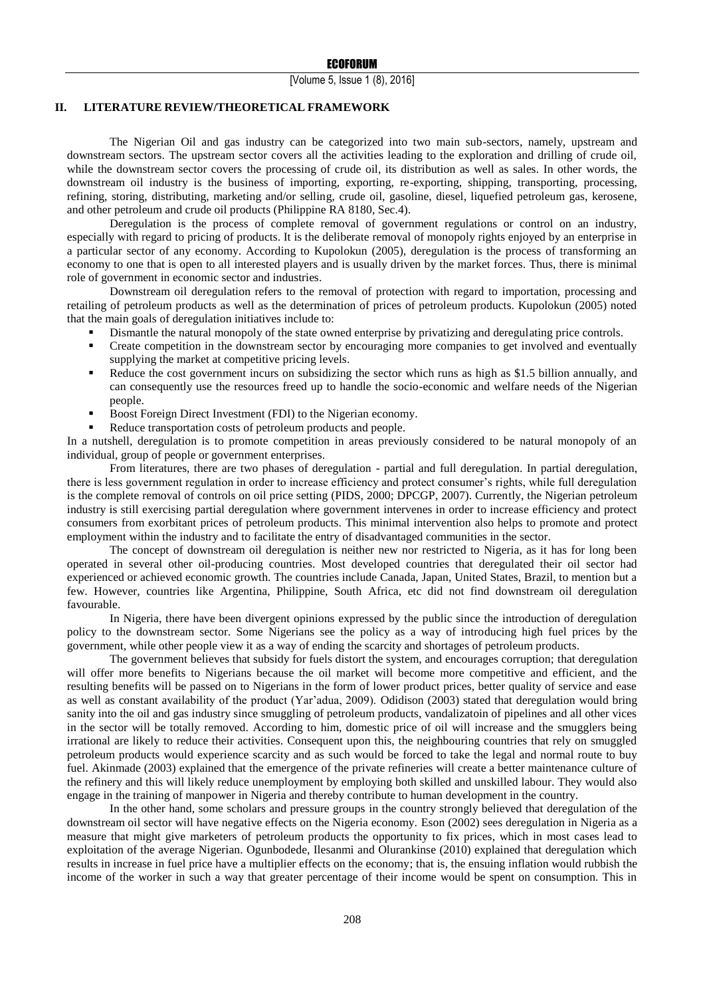## **II. LITERATURE REVIEW/THEORETICAL FRAMEWORK**

The Nigerian Oil and gas industry can be categorized into two main sub-sectors, namely, upstream and downstream sectors. The upstream sector covers all the activities leading to the exploration and drilling of crude oil, while the downstream sector covers the processing of crude oil, its distribution as well as sales. In other words, the downstream oil industry is the business of importing, exporting, re-exporting, shipping, transporting, processing, refining, storing, distributing, marketing and/or selling, crude oil, gasoline, diesel, liquefied petroleum gas, kerosene, and other petroleum and crude oil products (Philippine RA 8180, Sec.4).

Deregulation is the process of complete removal of government regulations or control on an industry, especially with regard to pricing of products. It is the deliberate removal of monopoly rights enjoyed by an enterprise in a particular sector of any economy. According to Kupolokun (2005), deregulation is the process of transforming an economy to one that is open to all interested players and is usually driven by the market forces. Thus, there is minimal role of government in economic sector and industries.

Downstream oil deregulation refers to the removal of protection with regard to importation, processing and retailing of petroleum products as well as the determination of prices of petroleum products. Kupolokun (2005) noted that the main goals of deregulation initiatives include to:

- Dismantle the natural monopoly of the state owned enterprise by privatizing and deregulating price controls.
- Create competition in the downstream sector by encouraging more companies to get involved and eventually supplying the market at competitive pricing levels.
- Reduce the cost government incurs on subsidizing the sector which runs as high as \$1.5 billion annually, and can consequently use the resources freed up to handle the socio-economic and welfare needs of the Nigerian people.
- **Boost Foreign Direct Investment (FDI) to the Nigerian economy.**
- Reduce transportation costs of petroleum products and people.

In a nutshell, deregulation is to promote competition in areas previously considered to be natural monopoly of an individual, group of people or government enterprises.

From literatures, there are two phases of deregulation - partial and full deregulation. In partial deregulation, there is less government regulation in order to increase efficiency and protect consumer's rights, while full deregulation is the complete removal of controls on oil price setting (PIDS, 2000; DPCGP, 2007). Currently, the Nigerian petroleum industry is still exercising partial deregulation where government intervenes in order to increase efficiency and protect consumers from exorbitant prices of petroleum products. This minimal intervention also helps to promote and protect employment within the industry and to facilitate the entry of disadvantaged communities in the sector.

The concept of downstream oil deregulation is neither new nor restricted to Nigeria, as it has for long been operated in several other oil-producing countries. Most developed countries that deregulated their oil sector had experienced or achieved economic growth. The countries include Canada, Japan, United States, Brazil, to mention but a few. However, countries like Argentina, Philippine, South Africa, etc did not find downstream oil deregulation favourable.

In Nigeria, there have been divergent opinions expressed by the public since the introduction of deregulation policy to the downstream sector. Some Nigerians see the policy as a way of introducing high fuel prices by the government, while other people view it as a way of ending the scarcity and shortages of petroleum products.

The government believes that subsidy for fuels distort the system, and encourages corruption; that deregulation will offer more benefits to Nigerians because the oil market will become more competitive and efficient, and the resulting benefits will be passed on to Nigerians in the form of lower product prices, better quality of service and ease as well as constant availability of the product (Yar'adua, 2009). [Odidison \(2003\)](javascript:;) stated that deregulation would bring sanity into the oil and gas industry since smuggling of petroleum products, vandalizatoin of pipelines and all other vices in the sector will be totally removed. According to him, domestic price of oil will increase and the smugglers being irrational are likely to reduce their activities. Consequent upon this, the neighbouring countries that rely on smuggled petroleum products would experience scarcity and as such would be forced to take the legal and normal route to buy fuel. [Akinmade \(2003\)](javascript:;) explained that the emergence of the private refineries will create a better maintenance culture of the refinery and this will likely reduce unemployment by employing both skilled and unskilled labour. They would also engage in the training of manpower in Nigeria and thereby contribute to human development in the country.

In the other hand, some scholars and pressure groups in the country strongly believed that deregulation of the downstream oil sector will have negative effects on the Nigeria economy. [Eson \(2002\)](javascript:;) sees deregulation in Nigeria as a measure that might give marketers of petroleum products the opportunity to fix prices, which in most cases lead to exploitation of the average Nigerian. Ogunbodede, Ilesanmi and Olurankinse (2010) explained that deregulation which results in increase in fuel price have a multiplier effects on the economy; that is, the ensuing inflation would rubbish the income of the worker in such a way that greater percentage of their income would be spent on consumption. This in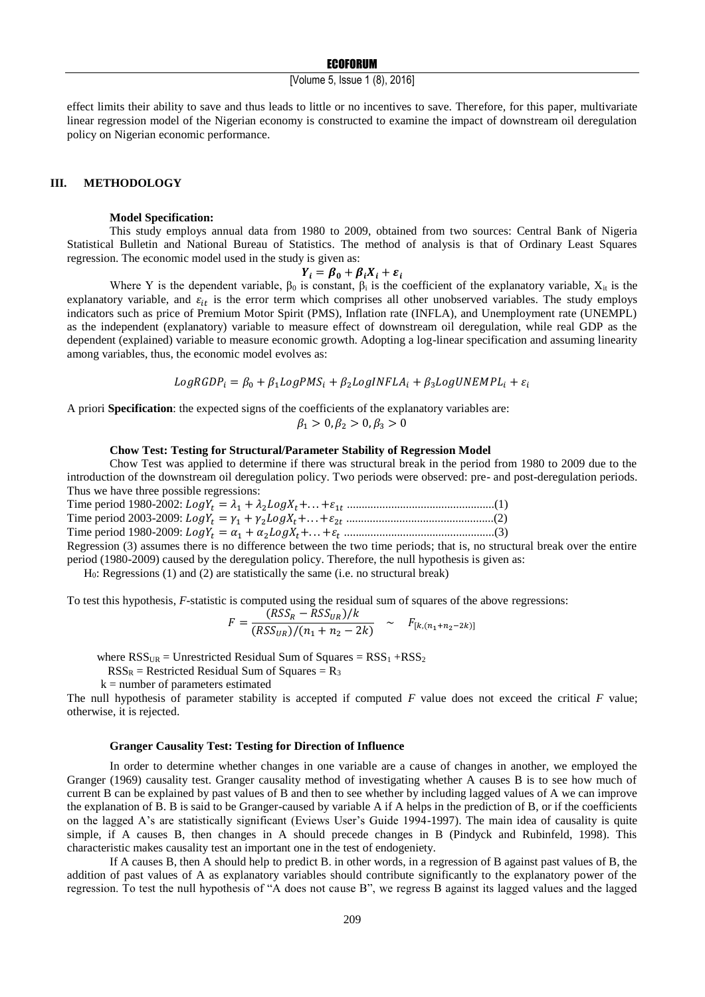[Volume 5, Issue 1 (8), 2016]

effect limits their ability to save and thus leads to little or no incentives to save. Therefore, for this paper, multivariate linear regression model of the Nigerian economy is constructed to examine the impact of downstream oil deregulation policy on Nigerian economic performance.

#### **III. METHODOLOGY**

#### **Model Specification:**

This study employs annual data from 1980 to 2009, obtained from two sources: Central Bank of Nigeria Statistical Bulletin and National Bureau of Statistics. The method of analysis is that of Ordinary Least Squares regression. The economic model used in the study is given as:

$$
Y_i = \beta_0 + \beta_i X_i + \varepsilon_i
$$

Where Y is the dependent variable,  $\beta_0$  is constant,  $\beta_i$  is the coefficient of the explanatory variable,  $X_{it}$  is the explanatory variable, and  $\varepsilon_{it}$  is the error term which comprises all other unobserved variables. The study employs indicators such as price of Premium Motor Spirit (PMS), Inflation rate (INFLA), and Unemployment rate (UNEMPL) as the independent (explanatory) variable to measure effect of downstream oil deregulation, while real GDP as the dependent (explained) variable to measure economic growth. Adopting a log-linear specification and assuming linearity among variables, thus, the economic model evolves as:

$$
LogRGDP_i = \beta_0 + \beta_1 LogPMS_i + \beta_2 LogINFLA_i + \beta_3 LogUNEMPL_i + \varepsilon_i
$$

A priori **Specification**: the expected signs of the coefficients of the explanatory variables are:

$$
\beta_1 > 0, \beta_2 > 0, \beta_3 > 0
$$

## **Chow Test: Testing for Structural/Parameter Stability of Regression Model**

Chow Test was applied to determine if there was structural break in the period from 1980 to 2009 due to the introduction of the downstream oil deregulation policy. Two periods were observed: pre- and post-deregulation periods. Thus we have three possible regressions:

Time period 1980-2002: = <sup>1</sup> + 2+. . .+1 ..................................................(1) Time period 2003-2009: = <sup>1</sup> + 2+. . .+2 ..................................................(2) Time period 1980-2009: = <sup>1</sup> + 2+. . .+ ...................................................(3)

Regression (3) assumes there is no difference between the two time periods; that is, no structural break over the entire period (1980-2009) caused by the deregulation policy. Therefore, the null hypothesis is given as:

H0: Regressions (1) and (2) are statistically the same (i.e. no structural break)

To test this hypothesis, *F*-statistic is computed using the residual sum of squares of the above regressions:

$$
F = \frac{(RSS_R - RSS_{UR})/k}{(RSS_{UR})/(n_1 + n_2 - 2k)} \sim F_{[k,(n_1 + n_2 - 2k)]}
$$

where  $RSS<sub>UR</sub>$  = Unrestricted Residual Sum of Squares =  $RSS<sub>1</sub> + RSS<sub>2</sub>$ 

 $RSS<sub>R</sub>$  = Restricted Residual Sum of Squares =  $R<sub>3</sub>$ 

 $k =$  number of parameters estimated

The null hypothesis of parameter stability is accepted if computed *F* value does not exceed the critical *F* value; otherwise, it is rejected.

#### **Granger Causality Test: Testing for Direction of Influence**

In order to determine whether changes in one variable are a cause of changes in another, we employed the Granger (1969) causality test. Granger causality method of investigating whether A causes B is to see how much of current B can be explained by past values of B and then to see whether by including lagged values of A we can improve the explanation of B. B is said to be Granger-caused by variable A if A helps in the prediction of B, or if the coefficients on the lagged A's are statistically significant (Eviews User's Guide 1994-1997). The main idea of causality is quite simple, if A causes B, then changes in A should precede changes in B (Pindyck and Rubinfeld, 1998). This characteristic makes causality test an important one in the test of endogeniety.

If A causes B, then A should help to predict B. in other words, in a regression of B against past values of B, the addition of past values of A as explanatory variables should contribute significantly to the explanatory power of the regression. To test the null hypothesis of "A does not cause B", we regress B against its lagged values and the lagged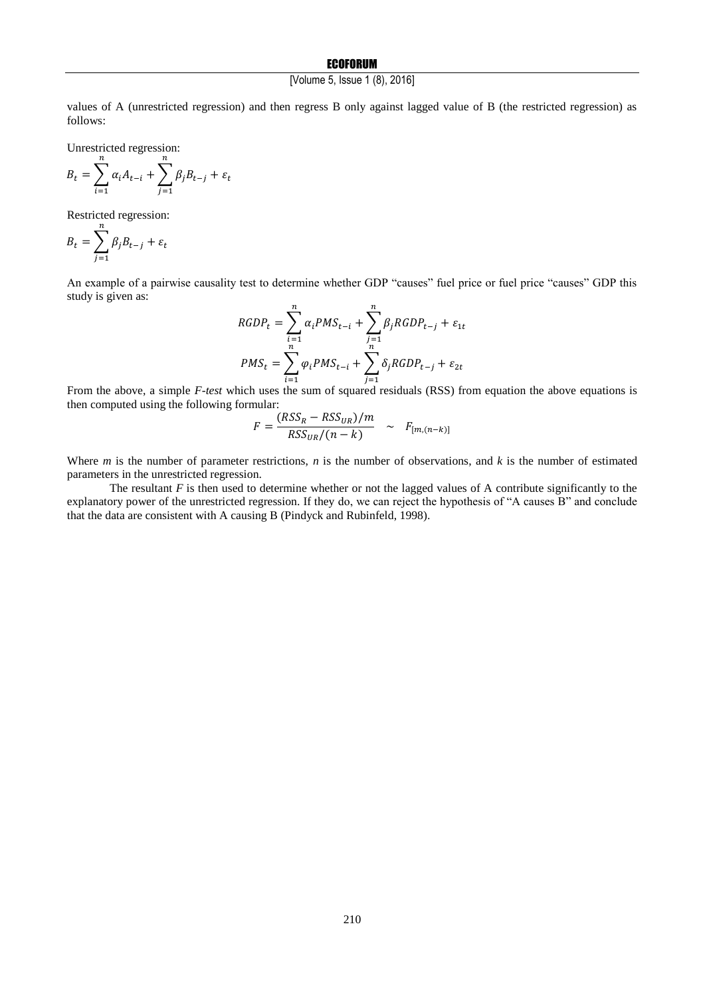# **ECOFORUM**

# [Volume 5, Issue 1 (8), 2016]

values of A (unrestricted regression) and then regress B only against lagged value of B (the restricted regression) as follows:

Unrestricted regression:

$$
B_{t} = \sum_{i=1}^{n} \alpha_{i} A_{t-i} + \sum_{j=1}^{n} \beta_{j} B_{t-j} + \varepsilon_{t}
$$

Restricted regression:

$$
B_t = \sum_{j=1}^n \beta_j B_{t-j} + \varepsilon_t
$$

An example of a pairwise causality test to determine whether GDP "causes" fuel price or fuel price "causes" GDP this study is given as:

$$
RGDP_t = \sum_{i=1}^n \alpha_i PMS_{t-i} + \sum_{j=1}^n \beta_j RGDP_{t-j} + \varepsilon_{1t}
$$
  

$$
PMS_t = \sum_{i=1}^n \varphi_i PMS_{t-i} + \sum_{j=1}^n \delta_j RGDP_{t-j} + \varepsilon_{2t}
$$

From the above, a simple *F-test* which uses the sum of squared residuals (RSS) from equation the above equations is then computed using the following formular:

$$
F = \frac{(RSS_R - RSS_{UR})/m}{RSS_{UR}/(n-k)} \sim F_{[m,(n-k)]}
$$

Where *m* is the number of parameter restrictions, *n* is the number of observations, and *k* is the number of estimated parameters in the unrestricted regression.

The resultant *F* is then used to determine whether or not the lagged values of A contribute significantly to the explanatory power of the unrestricted regression. If they do, we can reject the hypothesis of "A causes B" and conclude that the data are consistent with A causing B (Pindyck and Rubinfeld, 1998).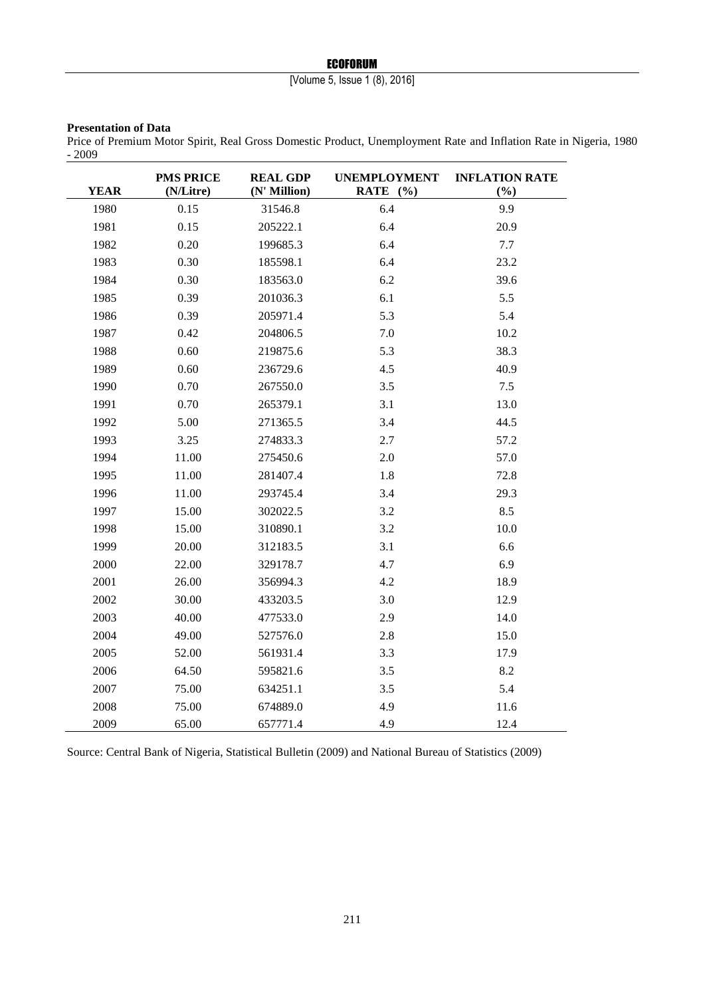# **ECOFORUM**

# [Volume 5, Issue 1 (8), 2016]

## **Presentation of Data**

Price of Premium Motor Spirit, Real Gross Domestic Product, Unemployment Rate and Inflation Rate in Nigeria, 1980  $-2009$ 

| <b>YEAR</b> | <b>PMS PRICE</b><br>(N/Litre) | <b>REAL GDP</b><br>(N' Million) | <b>UNEMPLOYMENT</b><br>RATE $(%$ | <b>INFLATION RATE</b><br>(%) |
|-------------|-------------------------------|---------------------------------|----------------------------------|------------------------------|
| 1980        | 0.15                          | 31546.8                         | 6.4                              | 9.9                          |
| 1981        | 0.15                          | 205222.1                        | 6.4                              | 20.9                         |
| 1982        | 0.20                          | 199685.3                        | 6.4                              | 7.7                          |
| 1983        | 0.30                          | 185598.1                        | 6.4                              | 23.2                         |
| 1984        | 0.30                          | 183563.0                        | 6.2                              | 39.6                         |
| 1985        | 0.39                          | 201036.3                        | 6.1                              | 5.5                          |
| 1986        | 0.39                          | 205971.4                        | 5.3                              | 5.4                          |
| 1987        | 0.42                          | 204806.5                        | 7.0                              | 10.2                         |
| 1988        | 0.60                          | 219875.6                        | 5.3                              | 38.3                         |
| 1989        | 0.60                          | 236729.6                        | 4.5                              | 40.9                         |
| 1990        | 0.70                          | 267550.0                        | 3.5                              | 7.5                          |
| 1991        | 0.70                          | 265379.1                        | 3.1                              | 13.0                         |
| 1992        | 5.00                          | 271365.5                        | 3.4                              | 44.5                         |
| 1993        | 3.25                          | 274833.3                        | 2.7                              | 57.2                         |
| 1994        | 11.00                         | 275450.6                        | 2.0                              | 57.0                         |
| 1995        | 11.00                         | 281407.4                        | 1.8                              | 72.8                         |
| 1996        | 11.00                         | 293745.4                        | 3.4                              | 29.3                         |
| 1997        | 15.00                         | 302022.5                        | 3.2                              | 8.5                          |
| 1998        | 15.00                         | 310890.1                        | 3.2                              | 10.0                         |
| 1999        | 20.00                         | 312183.5                        | 3.1                              | 6.6                          |
| 2000        | 22.00                         | 329178.7                        | 4.7                              | 6.9                          |
| 2001        | 26.00                         | 356994.3                        | 4.2                              | 18.9                         |
| 2002        | 30.00                         | 433203.5                        | 3.0                              | 12.9                         |
| 2003        | 40.00                         | 477533.0                        | 2.9                              | 14.0                         |
| 2004        | 49.00                         | 527576.0                        | 2.8                              | 15.0                         |
| 2005        | 52.00                         | 561931.4                        | 3.3                              | 17.9                         |
| 2006        | 64.50                         | 595821.6                        | 3.5                              | 8.2                          |
| 2007        | 75.00                         | 634251.1                        | 3.5                              | 5.4                          |
| 2008        | 75.00                         | 674889.0                        | 4.9                              | 11.6                         |
| 2009        | 65.00                         | 657771.4                        | 4.9                              | 12.4                         |

Source: Central Bank of Nigeria, Statistical Bulletin (2009) and National Bureau of Statistics (2009)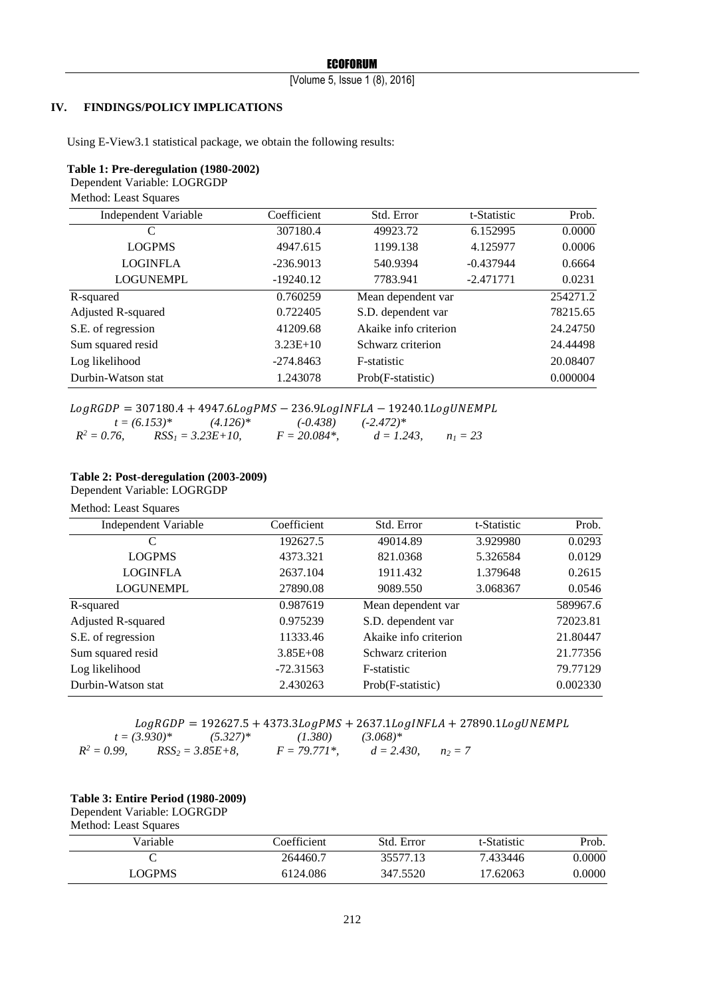[Volume 5, Issue 1 (8), 2016]

## **IV. FINDINGS/POLICY IMPLICATIONS**

Using E-View3.1 statistical package, we obtain the following results:

#### **Table 1: Pre-deregulation (1980-2002)**

Dependent Variable: LOGRGDP

Method: Least Squares

| Independent Variable | Coefficient | Std. Error            | t-Statistic | Prob.    |
|----------------------|-------------|-----------------------|-------------|----------|
| C                    | 307180.4    | 49923.72              | 6.152995    | 0.0000   |
| <b>LOGPMS</b>        | 4947.615    | 1199.138              | 4.125977    | 0.0006   |
| <b>LOGINFLA</b>      | $-236.9013$ | 540.9394              | $-0.437944$ | 0.6664   |
| <b>LOGUNEMPL</b>     | $-19240.12$ | 7783.941              | $-2.471771$ | 0.0231   |
| R-squared            | 0.760259    | Mean dependent var    |             | 254271.2 |
| Adjusted R-squared   | 0.722405    | S.D. dependent var    |             | 78215.65 |
| S.E. of regression   | 41209.68    | Akaike info criterion |             | 24.24750 |
| Sum squared resid    | $3.23E+10$  | Schwarz criterion     |             | 24.44498 |
| Log likelihood       | $-274.8463$ | F-statistic           |             | 20.08407 |
| Durbin-Watson stat   | 1.243078    | Prob(F-statistic)     |             | 0.000004 |

# $LogRGDP = 307180.4 + 4947.6 LogPMS - 236.9 LogINFLA - 19240.1 LogUNEMPL$ <br> $t = (6.153)*$   $(4.126)*$   $(-0.438)$   $(-2.472)*$

 $t = (6.153)^{*}$   $(4.126)^{*}$   $(-0.438)$   $(-2.472)^{*}$ <br>  $76$ ,  $RSS_{1} = 3.23E+10$ ,  $F = 20.084^{*}$ ,  $d = 1.243$ ,  $R^2 = 0.76$ ,  $RSS_1 = 3.23E+10$ ,  $F = 20.084^*$ ,  $d = 1.243$ ,  $n_1 = 23$ 

# **Table 2: Post-deregulation (2003-2009)**

Dependent Variable: LOGRGDP

Method: Least Squares

| Independent Variable | Coefficient  | Std. Error            | t-Statistic | Prob.    |
|----------------------|--------------|-----------------------|-------------|----------|
| C                    | 192627.5     | 49014.89              | 3.929980    | 0.0293   |
| <b>LOGPMS</b>        | 4373.321     | 821.0368              | 5.326584    | 0.0129   |
| <b>LOGINFLA</b>      | 2637.104     | 1911.432              | 1.379648    | 0.2615   |
| <b>LOGUNEMPL</b>     | 27890.08     | 9089.550              | 3.068367    | 0.0546   |
| R-squared            | 0.987619     | Mean dependent var    |             | 589967.6 |
| Adjusted R-squared   | 0.975239     | S.D. dependent var    |             | 72023.81 |
| S.E. of regression   | 11333.46     | Akaike info criterion |             | 21.80447 |
| Sum squared resid    | $3.85E + 08$ | Schwarz criterion     |             | 21.77356 |
| Log likelihood       | $-72.31563$  | F-statistic           |             | 79.77129 |
| Durbin-Watson stat   | 2.430263     | Prob(F-statistic)     |             | 0.002330 |

|                |                   |                      | $LogRGDP = 192627.5 + 4373.3LogPMS + 2637.1LogINFLA + 27890.1LogUNEMPL$ |                         |  |
|----------------|-------------------|----------------------|-------------------------------------------------------------------------|-------------------------|--|
|                | $t = (3.930)^{*}$ | $(5.327)^*$          | (1.380)                                                                 | $(3.068)*$              |  |
| $R^2 = 0.99$ . |                   | $RSS_2 = 3.85E + 8.$ | $F = 79.771*$                                                           | $d = 2.430$ , $n_2 = 7$ |  |

# **Table 3: Entire Period (1980-2009)**

Dependent Variable: LOGRGDP Method: Least Squares

| Coefficient | Std. Error | t-Statistic | Prob.  |
|-------------|------------|-------------|--------|
| 264460.7    | 35577.13   | 7.433446    | 0.0000 |
| 6124.086    | 347.5520   | 17.62063    | 0.0000 |
|             |            |             |        |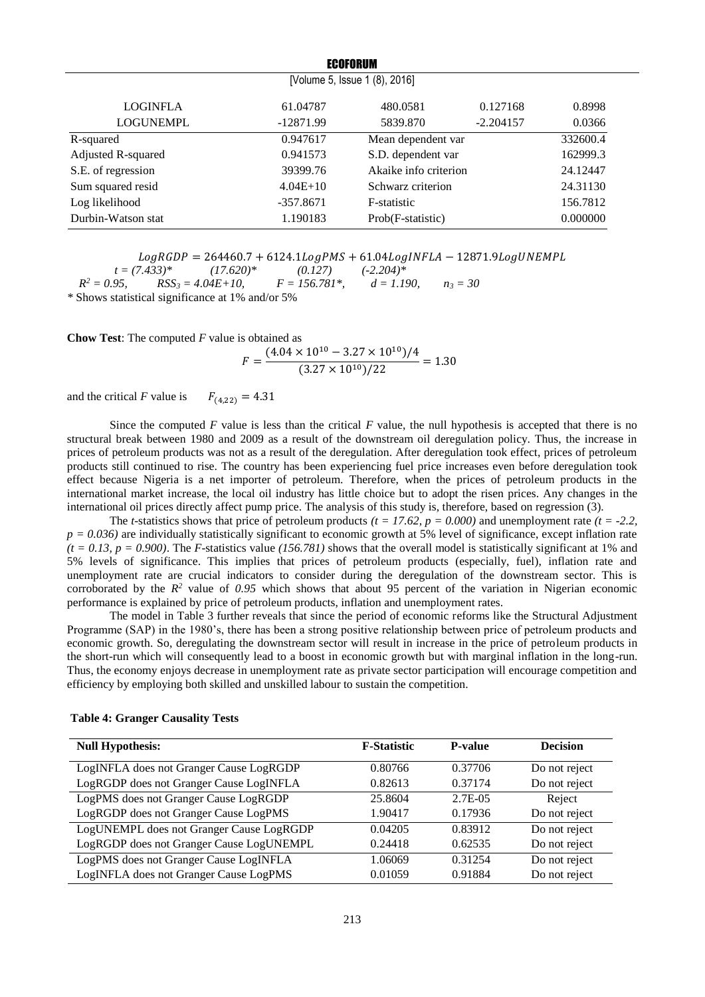| <b>ECOFORUM</b>               |             |                       |             |          |  |  |
|-------------------------------|-------------|-----------------------|-------------|----------|--|--|
| [Volume 5, Issue 1 (8), 2016] |             |                       |             |          |  |  |
| <b>LOGINFLA</b>               | 61.04787    | 480.0581              | 0.127168    | 0.8998   |  |  |
| <b>LOGUNEMPL</b>              | $-12871.99$ | 5839.870              | $-2.204157$ | 0.0366   |  |  |
| R-squared                     | 0.947617    | Mean dependent var    |             | 332600.4 |  |  |
| Adjusted R-squared            | 0.941573    | S.D. dependent var    |             | 162999.3 |  |  |
| S.E. of regression            | 39399.76    | Akaike info criterion |             | 24.12447 |  |  |
| Sum squared resid             | $4.04E+10$  | Schwarz criterion     |             | 24.31130 |  |  |
| Log likelihood                | $-357.8671$ | F-statistic           |             | 156.7812 |  |  |
| Durbin-Watson stat            | 1.190183    | Prob(F-statistic)     |             | 0.000000 |  |  |

 $LogRGDP = 264460.7 + 6124.1 Log PMS + 61.04 Log INFLA - 12871.9 Log UNEMPL$ <br>7.433)\*  $(17.620)*$   $(0.127)$   $(-2.204)*$  $t = (7.433)^*$  $R^2 = 0.95$ .  $RSS_3 = 4.04E+10$ ,  $F = 156.781^*$ ,  $d = 1.190$ ,  $n_3 = 30$ *\** Shows statistical significance at 1% and/or 5%

**Chow Test**: The computed *F* value is obtained as

 $F = \frac{(4.04 \times 10^{10} - 3.27 \times 10^{10})/4}{(2.37 \times 10^{10})/32}$  $\frac{7}{(3.27 \times 10^{10})/22}$  = 1.30

and the critical *F* value is  $F_{(4,22)} = 4.31$ 

Since the computed *F* value is less than the critical *F* value, the null hypothesis is accepted that there is no structural break between 1980 and 2009 as a result of the downstream oil deregulation policy. Thus, the increase in prices of petroleum products was not as a result of the deregulation. After deregulation took effect, prices of petroleum products still continued to rise. The country has been experiencing fuel price increases even before deregulation took effect because Nigeria is a net importer of petroleum. Therefore, when the prices of petroleum products in the international market increase, the local oil industry has little choice but to adopt the risen prices. Any changes in the international oil prices directly affect pump price. The analysis of this study is, therefore, based on regression (3).

The *t*-statistics shows that price of petroleum products  $(t = 17.62, p = 0.000)$  and unemployment rate  $(t = -2.2,$  $p = 0.036$ ) are individually statistically significant to economic growth at 5% level of significance, except inflation rate  $(t = 0.13, p = 0.900)$ . The *F*-statistics value (156.781) shows that the overall model is statistically significant at 1% and 5% levels of significance. This implies that prices of petroleum products (especially, fuel), inflation rate and unemployment rate are crucial indicators to consider during the deregulation of the downstream sector. This is corroborated by the  $R<sup>2</sup>$  value of 0.95 which shows that about 95 percent of the variation in Nigerian economic performance is explained by price of petroleum products, inflation and unemployment rates.

The model in Table 3 further reveals that since the period of economic reforms like the Structural Adjustment Programme (SAP) in the 1980's, there has been a strong positive relationship between price of petroleum products and economic growth. So, deregulating the downstream sector will result in increase in the price of petroleum products in the short-run which will consequently lead to a boost in economic growth but with marginal inflation in the long-run. Thus, the economy enjoys decrease in unemployment rate as private sector participation will encourage competition and efficiency by employing both skilled and unskilled labour to sustain the competition.

| <b>Null Hypothesis:</b>                  | <b>F-Statistic</b> | <b>P-value</b> | <b>Decision</b> |
|------------------------------------------|--------------------|----------------|-----------------|
| LogINFLA does not Granger Cause LogRGDP  | 0.80766            | 0.37706        | Do not reject   |
| LogRGDP does not Granger Cause LogINFLA  | 0.82613            | 0.37174        | Do not reject   |
| LogPMS does not Granger Cause LogRGDP    | 25.8604            | 2.7E-05        | Reject          |
| LogRGDP does not Granger Cause LogPMS    | 1.90417            | 0.17936        | Do not reject   |
| LogUNEMPL does not Granger Cause LogRGDP | 0.04205            | 0.83912        | Do not reject   |
| LogRGDP does not Granger Cause LogUNEMPL | 0.24418            | 0.62535        | Do not reject   |
| LogPMS does not Granger Cause LogINFLA   | 1.06069            | 0.31254        | Do not reject   |
| LogINFLA does not Granger Cause LogPMS   | 0.01059            | 0.91884        | Do not reject   |

#### **Table 4: Granger Causality Tests**